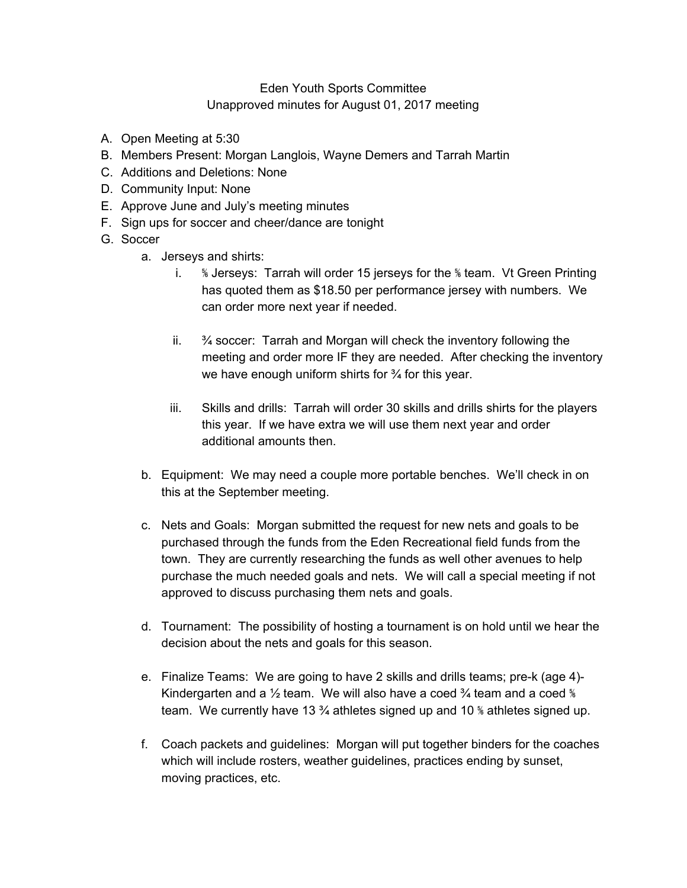## Eden Youth Sports Committee Unapproved minutes for August 01, 2017 meeting

- A. Open Meeting at 5:30
- B. Members Present: Morgan Langlois, Wayne Demers and Tarrah Martin
- C. Additions and Deletions: None
- D. Community Input: None
- E. Approve June and July's meeting minutes
- F. Sign ups for soccer and cheer/dance are tonight
- G. Soccer
	- a. Jerseys and shirts:
		- i. ⅚ Jerseys: Tarrah will order 15 jerseys for the ⅚ team. Vt Green Printing has quoted them as \$18.50 per performance jersey with numbers. We can order more next year if needed.
		- ii.  $\frac{9}{4}$  soccer: Tarrah and Morgan will check the inventory following the meeting and order more IF they are needed. After checking the inventory we have enough uniform shirts for 3⁄4 for this year.
		- iii. Skills and drills: Tarrah will order 30 skills and drills shirts for the players this year. If we have extra we will use them next year and order additional amounts then.
	- b. Equipment: We may need a couple more portable benches. We'll check in on this at the September meeting.
	- c. Nets and Goals: Morgan submitted the request for new nets and goals to be purchased through the funds from the Eden Recreational field funds from the town. They are currently researching the funds as well other avenues to help purchase the much needed goals and nets. We will call a special meeting if not approved to discuss purchasing them nets and goals.
	- d. Tournament: The possibility of hosting a tournament is on hold until we hear the decision about the nets and goals for this season.
	- e. Finalize Teams: We are going to have 2 skills and drills teams; pre-k (age 4)- Kindergarten and a  $\frac{1}{2}$  team. We will also have a coed  $\frac{3}{4}$  team and a coed  $\frac{1}{8}$ team. We currently have 13  $\frac{3}{4}$  athletes signed up and 10 % athletes signed up.
	- f. Coach packets and guidelines: Morgan will put together binders for the coaches which will include rosters, weather guidelines, practices ending by sunset, moving practices, etc.